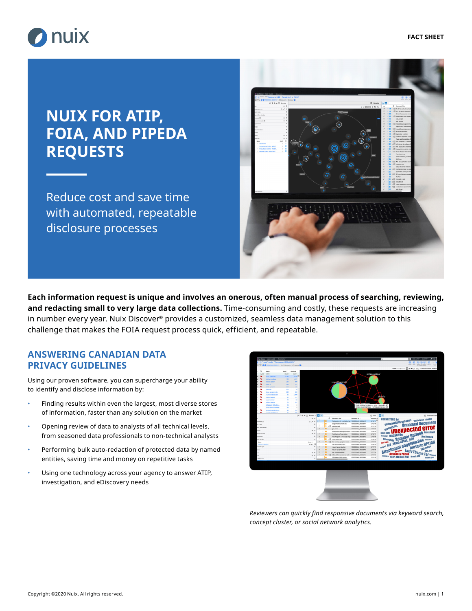

# **NUIX FOR ATIP, FOIA, AND PIPEDA REQUESTS**

Reduce cost and save time with automated, repeatable disclosure processes



**Each information request is unique and involves an onerous, often manual process of searching, reviewing, and redacting small to very large data collections.** Time-consuming and costly, these requests are increasing in number every year. Nuix Discover® provides a customized, seamless data management solution to this challenge that makes the FOIA request process quick, efficient, and repeatable.

### **ANSWERING CANADIAN DATA PRIVACY GUIDELINES**

Using our proven software, you can supercharge your ability to identify and disclose information by:

- Finding results within even the largest, most diverse stores of information, faster than any solution on the market
- Opening review of data to analysts of all technical levels, from seasoned data professionals to non-technical analysts
- Performing bulk auto-redaction of protected data by named entities, saving time and money on repetitive tasks
- Using one technology across your agency to answer ATIP, investigation, and eDiscovery needs



*Reviewers can quickly find responsive documents via keyword search, concept cluster, or social network analytics.*